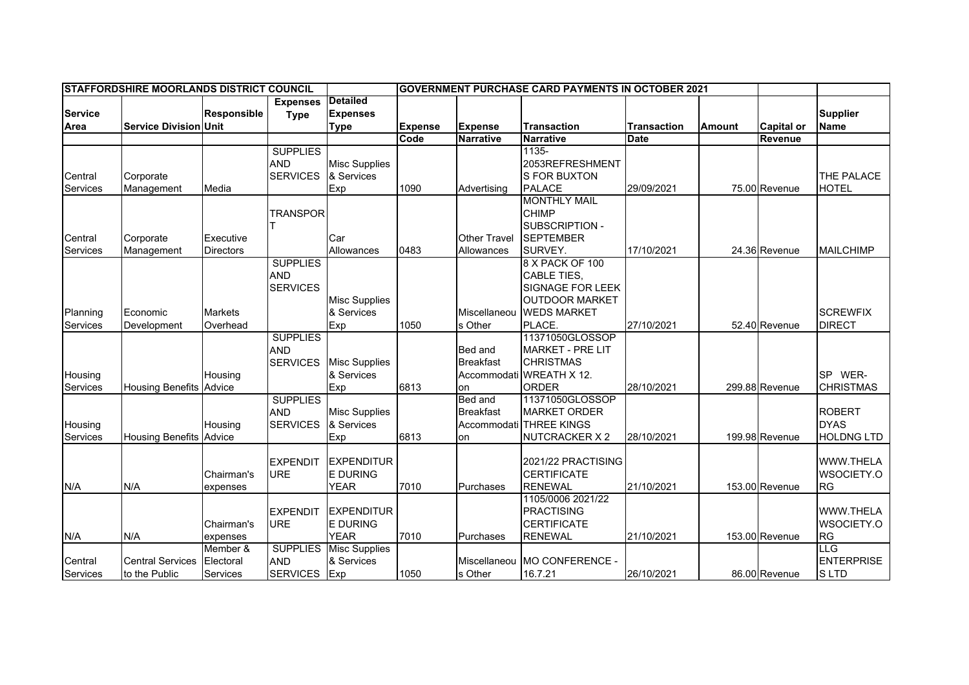| <b>STAFFORDSHIRE MOORLANDS DISTRICT COUNCIL</b> |                                |                    |                 |                      | <b>GOVERNMENT PURCHASE CARD PAYMENTS IN OCTOBER 2021</b> |                     |                          |                    |               |                   |                   |
|-------------------------------------------------|--------------------------------|--------------------|-----------------|----------------------|----------------------------------------------------------|---------------------|--------------------------|--------------------|---------------|-------------------|-------------------|
|                                                 |                                |                    | <b>Expenses</b> | <b>Detailed</b>      |                                                          |                     |                          |                    |               |                   |                   |
| <b>Service</b>                                  |                                | <b>Responsible</b> | <b>Type</b>     | <b>Expenses</b>      |                                                          |                     |                          |                    |               |                   | <b>Supplier</b>   |
| Area                                            | <b>Service Division Unit</b>   |                    |                 | <b>Type</b>          | <b>Expense</b>                                           | <b>Expense</b>      | <b>Transaction</b>       | <b>Transaction</b> | <b>Amount</b> | <b>Capital or</b> | <b>Name</b>       |
|                                                 |                                |                    |                 |                      | Code                                                     | <b>Narrative</b>    | <b>Narrative</b>         | <b>Date</b>        |               | Revenue           |                   |
|                                                 |                                |                    | <b>SUPPLIES</b> |                      |                                                          |                     | $1135 -$                 |                    |               |                   |                   |
|                                                 |                                |                    | <b>AND</b>      | <b>Misc Supplies</b> |                                                          |                     | 2053REFRESHMENT          |                    |               |                   |                   |
| Central                                         | Corporate                      |                    | <b>SERVICES</b> | & Services           |                                                          |                     | <b>S FOR BUXTON</b>      |                    |               |                   | THE PALACE        |
| Services                                        | Management                     | Media              |                 | Exp                  | 1090                                                     | Advertising         | <b>PALACE</b>            | 29/09/2021         |               | 75.00 Revenue     | <b>HOTEL</b>      |
|                                                 |                                |                    |                 |                      |                                                          |                     | <b>MONTHLY MAIL</b>      |                    |               |                   |                   |
|                                                 |                                |                    | <b>TRANSPOR</b> |                      |                                                          |                     | <b>CHIMP</b>             |                    |               |                   |                   |
|                                                 |                                |                    |                 |                      |                                                          |                     | SUBSCRIPTION -           |                    |               |                   |                   |
| Central                                         | Corporate                      | Executive          |                 | Car                  |                                                          | <b>Other Travel</b> | <b>SEPTEMBER</b>         |                    |               |                   |                   |
| Services                                        | Management                     | <b>Directors</b>   |                 | Allowances           | 0483                                                     | Allowances          | SURVEY.                  | 17/10/2021         |               | 24.36 Revenue     | <b>MAILCHIMP</b>  |
|                                                 |                                |                    | <b>SUPPLIES</b> |                      |                                                          |                     | 8 X PACK OF 100          |                    |               |                   |                   |
|                                                 |                                |                    | <b>AND</b>      |                      |                                                          |                     | <b>CABLE TIES,</b>       |                    |               |                   |                   |
|                                                 |                                |                    | <b>SERVICES</b> |                      |                                                          |                     | SIGNAGE FOR LEEK         |                    |               |                   |                   |
|                                                 |                                |                    |                 | <b>Misc Supplies</b> |                                                          |                     | <b>OUTDOOR MARKET</b>    |                    |               |                   |                   |
| Planning                                        | Economic                       | <b>Markets</b>     |                 | & Services           |                                                          | Miscellaneou        | <b>WEDS MARKET</b>       |                    |               |                   | <b>SCREWFIX</b>   |
| Services                                        | Development                    | Overhead           |                 | Exp                  | 1050                                                     | s Other             | PLACE.                   | 27/10/2021         |               | 52.40 Revenue     | <b>DIRECT</b>     |
|                                                 |                                |                    | <b>SUPPLIES</b> |                      |                                                          |                     | 11371050GLOSSOP          |                    |               |                   |                   |
|                                                 |                                |                    | <b>AND</b>      |                      |                                                          | Bed and             | <b>MARKET - PRE LIT</b>  |                    |               |                   |                   |
|                                                 |                                |                    | <b>SERVICES</b> | <b>Misc Supplies</b> |                                                          | <b>Breakfast</b>    | <b>CHRISTMAS</b>         |                    |               |                   |                   |
| Housing                                         |                                | Housing            |                 | & Services           |                                                          |                     | Accommodati WREATH X 12. |                    |               |                   | SP WER-           |
| Services                                        | <b>Housing Benefits Advice</b> |                    |                 | Exp                  | 6813                                                     | on                  | <b>ORDER</b>             | 28/10/2021         |               | 299.88 Revenue    | <b>CHRISTMAS</b>  |
|                                                 |                                |                    | <b>SUPPLIES</b> |                      |                                                          | <b>Bed and</b>      | 11371050GLOSSOP          |                    |               |                   |                   |
|                                                 |                                |                    | <b>AND</b>      | <b>Misc Supplies</b> |                                                          | <b>Breakfast</b>    | <b>MARKET ORDER</b>      |                    |               |                   | <b>ROBERT</b>     |
| Housing                                         |                                | Housing            | <b>SERVICES</b> | & Services           |                                                          | Accommodati         | <b>THREE KINGS</b>       |                    |               |                   | <b>DYAS</b>       |
| Services                                        | <b>Housing Benefits</b>        | Advice             |                 | Exp                  | 6813                                                     | on                  | NUTCRACKER X 2           | 28/10/2021         |               | 199.98 Revenue    | <b>HOLDNG LTD</b> |
|                                                 |                                |                    |                 |                      |                                                          |                     |                          |                    |               |                   |                   |
|                                                 |                                |                    | <b>EXPENDIT</b> | <b>EXPENDITUR</b>    |                                                          |                     | 2021/22 PRACTISING       |                    |               |                   | <b>WWW.THELA</b>  |
|                                                 |                                | Chairman's         | <b>URE</b>      | <b>E DURING</b>      |                                                          |                     | <b>CERTIFICATE</b>       |                    |               |                   | WSOCIETY.O        |
| N/A                                             | N/A                            | expenses           |                 | <b>YEAR</b>          | 7010                                                     | Purchases           | <b>RENEWAL</b>           | 21/10/2021         |               | 153.00 Revenue    | <b>RG</b>         |
|                                                 |                                |                    |                 |                      |                                                          |                     | 1105/0006 2021/22        |                    |               |                   |                   |
|                                                 |                                |                    | <b>EXPENDIT</b> | <b>EXPENDITUR</b>    |                                                          |                     | <b>PRACTISING</b>        |                    |               |                   | <b>WWW.THELA</b>  |
|                                                 |                                | Chairman's         | <b>URE</b>      | <b>E DURING</b>      |                                                          |                     | <b>CERTIFICATE</b>       |                    |               |                   | WSOCIETY.O        |
| N/A                                             | N/A                            | expenses           |                 | <b>YEAR</b>          | 7010                                                     | Purchases           | <b>RENEWAL</b>           | 21/10/2021         |               | 153.00 Revenue    | <b>RG</b>         |
|                                                 |                                | Member &           | <b>SUPPLIES</b> | <b>Misc Supplies</b> |                                                          |                     |                          |                    |               |                   | LLG               |
| Central                                         | <b>Central Services</b>        | Electoral          | <b>AND</b>      | & Services           |                                                          | Miscellaneou        | <b>MO CONFERENCE -</b>   |                    |               |                   | <b>ENTERPRISE</b> |
| Services                                        | to the Public                  | Services           | SERVICES Exp    |                      | 1050                                                     | s Other             | 16.7.21                  | 26/10/2021         |               | 86.00 Revenue     | <b>SLTD</b>       |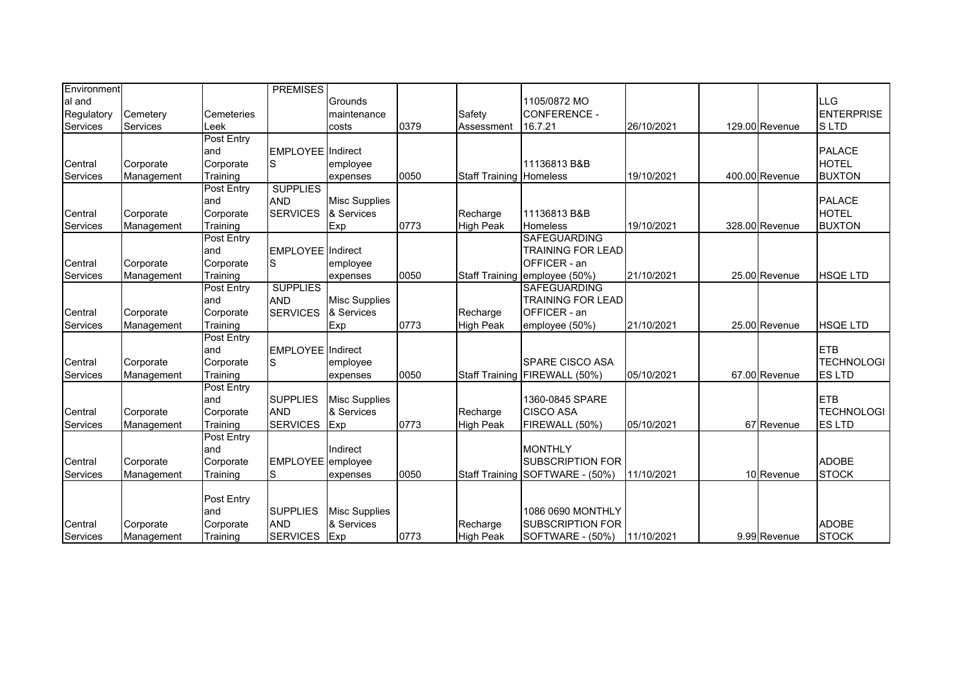| Environment     |            |                   | <b>PREMISES</b>          |                      |      |                                |                                 |            |                |                   |
|-----------------|------------|-------------------|--------------------------|----------------------|------|--------------------------------|---------------------------------|------------|----------------|-------------------|
| al and          |            |                   |                          | Grounds              |      |                                | 1105/0872 MO                    |            |                | <b>LLG</b>        |
| Regulatory      | Cemetery   | Cemeteries        |                          | maintenance          |      | Safety                         | <b>CONFERENCE -</b>             |            |                | <b>ENTERPRISE</b> |
| Services        | Services   | Leek              |                          | costs                | 0379 | Assessment                     | 16.7.21                         | 26/10/2021 | 129.00 Revenue | <b>SLTD</b>       |
|                 |            | Post Entry        |                          |                      |      |                                |                                 |            |                |                   |
|                 |            | and               | <b>EMPLOYEE</b> Indirect |                      |      |                                |                                 |            |                | <b>PALACE</b>     |
| Central         | Corporate  | Corporate         | lS.                      | employee             |      |                                | 11136813 B&B                    |            |                | <b>HOTEL</b>      |
| Services        | Management | Training          |                          | expenses             | 0050 | <b>Staff Training Homeless</b> |                                 | 19/10/2021 | 400.00 Revenue | <b>BUXTON</b>     |
|                 |            | Post Entry        | <b>SUPPLIES</b>          |                      |      |                                |                                 |            |                |                   |
|                 |            | and               | <b>AND</b>               | <b>Misc Supplies</b> |      |                                |                                 |            |                | <b>PALACE</b>     |
| Central         | Corporate  | Corporate         | <b>SERVICES</b>          | & Services           |      | Recharge                       | 11136813 B&B                    |            |                | <b>HOTEL</b>      |
| Services        | Management | Training          |                          | Exp                  | 0773 | <b>High Peak</b>               | <b>Homeless</b>                 | 19/10/2021 | 328.00 Revenue | <b>BUXTON</b>     |
|                 |            | <b>Post Entry</b> |                          |                      |      |                                | <b>SAFEGUARDING</b>             |            |                |                   |
|                 |            | and               | <b>EMPLOYEE</b> Indirect |                      |      |                                | TRAINING FOR LEAD               |            |                |                   |
| Central         | Corporate  | Corporate         | lS                       | employee             |      |                                | OFFICER - an                    |            |                |                   |
| Services        | Management | Training          |                          | expenses             | 0050 |                                | Staff Training employee (50%)   | 21/10/2021 | 25.00 Revenue  | <b>HSQE LTD</b>   |
|                 |            | <b>Post Entry</b> | <b>SUPPLIES</b>          |                      |      |                                | <b>SAFEGUARDING</b>             |            |                |                   |
|                 |            | and               | <b>AND</b>               | <b>Misc Supplies</b> |      |                                | TRAINING FOR LEAD               |            |                |                   |
| Central         | Corporate  | Corporate         | <b>SERVICES</b>          | & Services           |      | Recharge                       | <b>OFFICER</b> - an             |            |                |                   |
| Services        | Management | Training          |                          | Exp                  | 0773 | <b>High Peak</b>               | employee (50%)                  | 21/10/2021 | 25.00 Revenue  | <b>HSQE LTD</b>   |
|                 |            | Post Entry        |                          |                      |      |                                |                                 |            |                |                   |
|                 |            | and               | <b>EMPLOYEE</b> Indirect |                      |      |                                |                                 |            |                | <b>ETB</b>        |
| Central         | Corporate  | Corporate         | lS                       | employee             |      |                                | <b>SPARE CISCO ASA</b>          |            |                | <b>TECHNOLOGI</b> |
| Services        | Management | Training          |                          | expenses             | 0050 |                                | Staff Training FIREWALL (50%)   | 05/10/2021 | 67.00 Revenue  | <b>ESLTD</b>      |
|                 |            | Post Entry        |                          |                      |      |                                |                                 |            |                |                   |
|                 |            | and               | <b>SUPPLIES</b>          | <b>Misc Supplies</b> |      |                                | 1360-0845 SPARE                 |            |                | <b>ETB</b>        |
| Central         | Corporate  | Corporate         | <b>AND</b>               | & Services           |      | Recharge                       | <b>CISCO ASA</b>                |            |                | <b>TECHNOLOGI</b> |
| <b>Services</b> | Management | Training          | <b>SERVICES</b>          | Exp                  | 0773 | <b>High Peak</b>               | FIREWALL (50%)                  | 05/10/2021 | 67 Revenue     | <b>ESLTD</b>      |
|                 |            | Post Entry        |                          |                      |      |                                |                                 |            |                |                   |
|                 |            | land              |                          | Indirect             |      |                                | <b>MONTHLY</b>                  |            |                |                   |
| Central         | Corporate  | Corporate         | EMPLOYEE employee        |                      |      |                                | <b>SUBSCRIPTION FOR</b>         |            |                | <b>ADOBE</b>      |
| Services        | Management | Training          | lS                       | expenses             | 0050 |                                | Staff Training SOFTWARE - (50%) | 11/10/2021 | 10 Revenue     | <b>STOCK</b>      |
|                 |            |                   |                          |                      |      |                                |                                 |            |                |                   |
|                 |            | Post Entry        |                          |                      |      |                                |                                 |            |                |                   |
|                 |            | and               | <b>SUPPLIES</b>          | <b>Misc Supplies</b> |      |                                | 1086 0690 MONTHLY               |            |                |                   |
| Central         | Corporate  | Corporate         | <b>AND</b>               | & Services           |      | Recharge                       | <b>SUBSCRIPTION FOR</b>         |            |                | <b>ADOBE</b>      |
| Services        | Management | Training          | <b>SERVICES</b>          | Exp                  | 0773 | <b>High Peak</b>               | SOFTWARE - (50%)                | 11/10/2021 | 9.99 Revenue   | <b>STOCK</b>      |